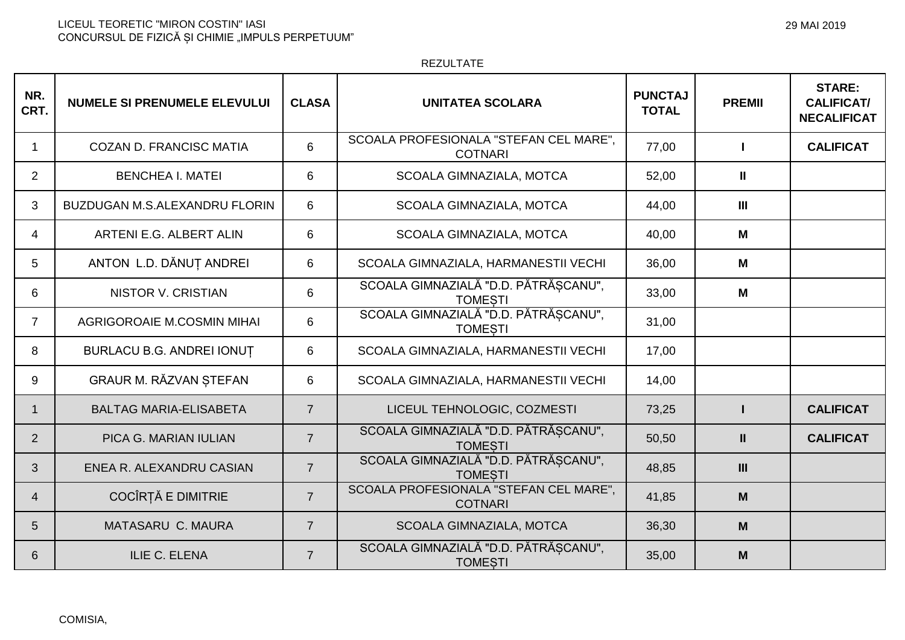LICEUL TEORETIC "MIRON COSTIN" IASI<br>CONCURSUL DE FIZICĂ ȘI CHIMIE "IMPULS PERPETUUM"

## REZULTATE

| NR.<br>CRT.    | <b>NUMELE SI PRENUMELE ELEVULUI</b>  | <b>CLASA</b>   | <b>UNITATEA SCOLARA</b>                                  | <b>PUNCTAJ</b><br><b>TOTAL</b> | <b>PREMII</b>  | <b>STARE:</b><br><b>CALIFICAT/</b><br><b>NECALIFICAT</b> |
|----------------|--------------------------------------|----------------|----------------------------------------------------------|--------------------------------|----------------|----------------------------------------------------------|
| 1              | <b>COZAN D. FRANCISC MATIA</b>       | 6              | SCOALA PROFESIONALA "STEFAN CEL MARE",<br><b>COTNARI</b> | 77,00                          |                | <b>CALIFICAT</b>                                         |
| 2              | <b>BENCHEA I. MATEI</b>              | 6              | SCOALA GIMNAZIALA, MOTCA                                 | 52,00                          | Ш              |                                                          |
| 3              | <b>BUZDUGAN M.S.ALEXANDRU FLORIN</b> | 6              | SCOALA GIMNAZIALA, MOTCA                                 | 44,00                          | $\mathbf{III}$ |                                                          |
| $\overline{4}$ | ARTENI E.G. ALBERT ALIN              | 6              | SCOALA GIMNAZIALA, MOTCA                                 | 40,00                          | М              |                                                          |
| 5              | ANTON L.D. DĂNUȚ ANDREI              | 6              | SCOALA GIMNAZIALA, HARMANESTII VECHI                     | 36,00                          | M              |                                                          |
| 6              | <b>NISTOR V. CRISTIAN</b>            | 6              | SCOALA GIMNAZIALĂ "D.D. PĂTRĂȘCANU",<br><b>TOMESTI</b>   | 33,00                          | M              |                                                          |
| $\overline{7}$ | AGRIGOROAIE M.COSMIN MIHAI           | 6              | SCOALA GIMNAZIALĂ "D.D. PĂTRĂȘCANU",<br><b>TOMESTI</b>   | 31,00                          |                |                                                          |
| 8              | <b>BURLACU B.G. ANDREI IONUT</b>     | 6              | SCOALA GIMNAZIALA, HARMANESTII VECHI                     | 17,00                          |                |                                                          |
| 9              | GRAUR M. RĂZVAN ȘTEFAN               | 6              | SCOALA GIMNAZIALA, HARMANESTII VECHI                     | 14,00                          |                |                                                          |
| $\mathbf{1}$   | <b>BALTAG MARIA-ELISABETA</b>        | $\overline{7}$ | LICEUL TEHNOLOGIC, COZMESTI                              | 73,25                          |                | <b>CALIFICAT</b>                                         |
| $\overline{2}$ | PICA G. MARIAN IULIAN                | $\overline{7}$ | SCOALA GIMNAZIALĂ "D.D. PĂTRĂȘCANU",<br><b>TOMESTI</b>   | 50,50                          | $\mathbf{II}$  | <b>CALIFICAT</b>                                         |
| 3              | ENEA R. ALEXANDRU CASIAN             | $\overline{7}$ | SCOALA GIMNAZIALĂ "D.D. PĂTRĂȘCANU",<br><b>TOMESTI</b>   | 48,85                          | III            |                                                          |
| $\overline{4}$ | COCÎRȚĂ E DIMITRIE                   | $\overline{7}$ | SCOALA PROFESIONALA "STEFAN CEL MARE",<br><b>COTNARI</b> | 41,85                          | M              |                                                          |
| 5              | <b>MATASARU C. MAURA</b>             | $\overline{7}$ | <b>SCOALA GIMNAZIALA, MOTCA</b>                          | 36,30                          | M              |                                                          |
| 6              | <b>ILIE C. ELENA</b>                 | $\overline{7}$ | SCOALA GIMNAZIALĂ "D.D. PĂTRĂȘCANU",<br><b>TOMESTI</b>   | 35,00                          | M              |                                                          |